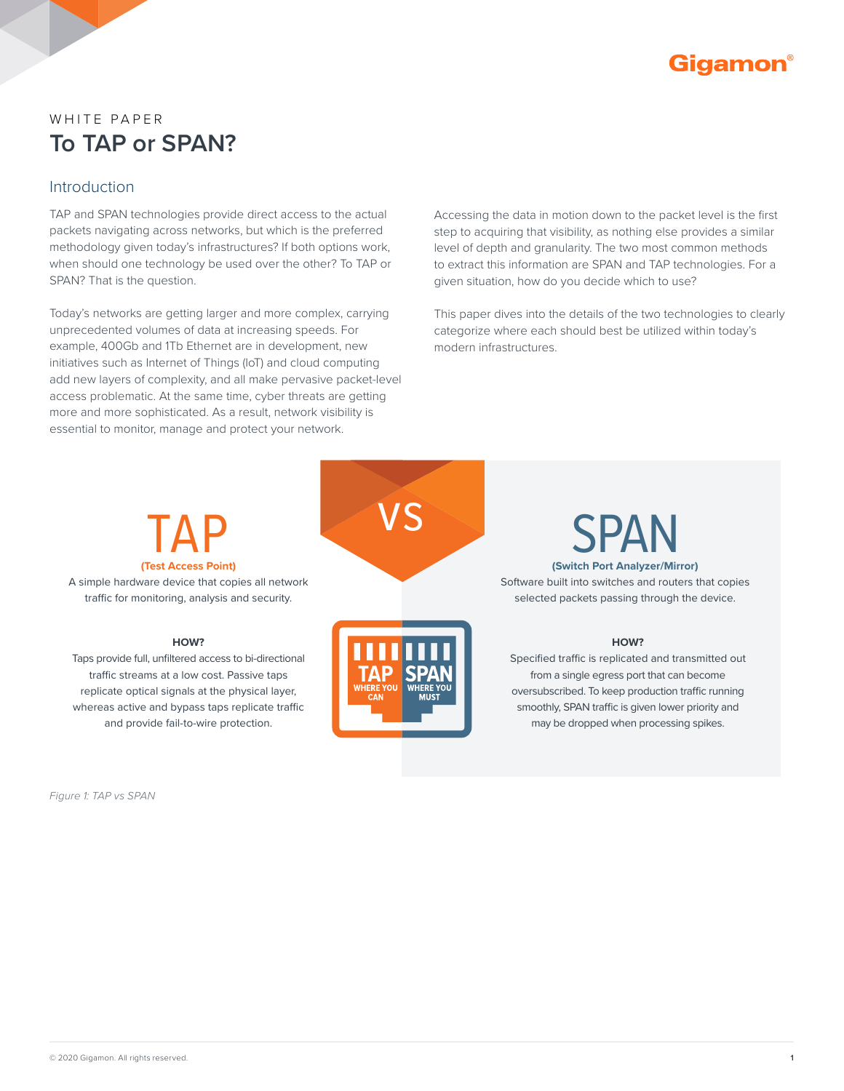

# WHITE PAPER **To TAP or SPAN?**

#### Introduction

TAP and SPAN technologies provide direct access to the actual packets navigating across networks, but which is the preferred methodology given today's infrastructures? If both options work, when should one technology be used over the other? To TAP or SPAN? That is the question.

Today's networks are getting larger and more complex, carrying unprecedented volumes of data at increasing speeds. For example, 400Gb and 1Tb Ethernet are in development, new initiatives such as Internet of Things (IoT) and cloud computing add new layers of complexity, and all make pervasive packet-level access problematic. At the same time, cyber threats are getting more and more sophisticated. As a result, network visibility is essential to monitor, manage and protect your network.

Accessing the data in motion down to the packet level is the first step to acquiring that visibility, as nothing else provides a similar level of depth and granularity. The two most common methods to extract this information are SPAN and TAP technologies. For a given situation, how do you decide which to use?

This paper dives into the details of the two technologies to clearly categorize where each should best be utilized within today's modern infrastructures.

# **(Test Access Point)**

A simple hardware device that copies all network traffic for monitoring, analysis and security.

#### **HOW?**

Taps provide full, unfiltered access to bi-directional traffic streams at a low cost. Passive taps replicate optical signals at the physical layer, whereas active and bypass taps replicate traffic and provide fail-to-wire protection.

*Figure 1: TAP vs SPAN*





**(Switch Port Analyzer/Mirror)**

Software built into switches and routers that copies selected packets passing through the device.

#### **HOW?**

Specified traffic is replicated and transmitted out from a single egress port that can become oversubscribed. To keep production traffic running smoothly, SPAN traffic is given lower priority and may be dropped when processing spikes.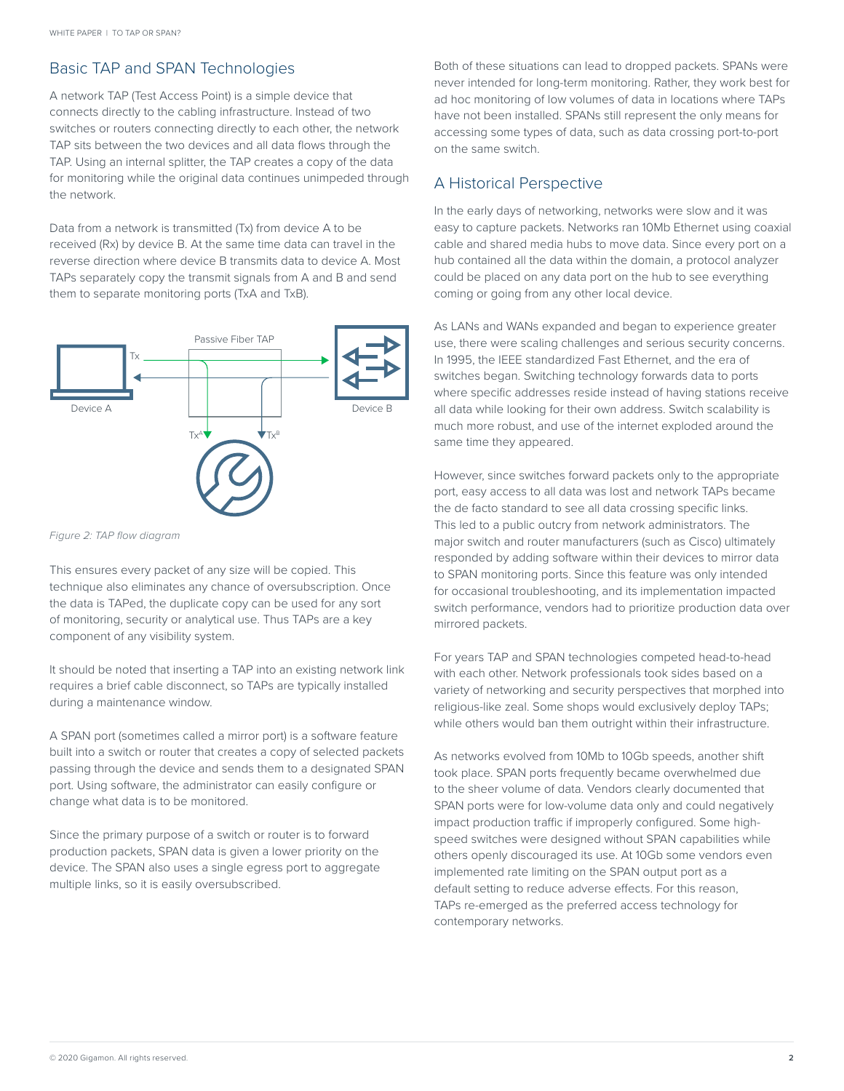#### Basic TAP and SPAN Technologies

A network TAP (Test Access Point) is a simple device that connects directly to the cabling infrastructure. Instead of two switches or routers connecting directly to each other, the network TAP sits between the two devices and all data flows through the TAP. Using an internal splitter, the TAP creates a copy of the data for monitoring while the original data continues unimpeded through the network.

Data from a network is transmitted (Tx) from device A to be received (Rx) by device B. At the same time data can travel in the reverse direction where device B transmits data to device A. Most TAPs separately copy the transmit signals from A and B and send them to separate monitoring ports (TxA and TxB).



*Figure 2: TAP flow diagram*

This ensures every packet of any size will be copied. This technique also eliminates any chance of oversubscription. Once the data is TAPed, the duplicate copy can be used for any sort of monitoring, security or analytical use. Thus TAPs are a key component of any visibility system.

It should be noted that inserting a TAP into an existing network link requires a brief cable disconnect, so TAPs are typically installed during a maintenance window.

A SPAN port (sometimes called a mirror port) is a software feature built into a switch or router that creates a copy of selected packets passing through the device and sends them to a designated SPAN port. Using software, the administrator can easily configure or change what data is to be monitored.

Since the primary purpose of a switch or router is to forward production packets, SPAN data is given a lower priority on the device. The SPAN also uses a single egress port to aggregate multiple links, so it is easily oversubscribed.

Both of these situations can lead to dropped packets. SPANs were never intended for long-term monitoring. Rather, they work best for ad hoc monitoring of low volumes of data in locations where TAPs have not been installed. SPANs still represent the only means for accessing some types of data, such as data crossing port-to-port on the same switch.

#### A Historical Perspective

In the early days of networking, networks were slow and it was easy to capture packets. Networks ran 10Mb Ethernet using coaxial cable and shared media hubs to move data. Since every port on a hub contained all the data within the domain, a protocol analyzer could be placed on any data port on the hub to see everything coming or going from any other local device.

As LANs and WANs expanded and began to experience greater use, there were scaling challenges and serious security concerns. In 1995, the IEEE standardized Fast Ethernet, and the era of switches began. Switching technology forwards data to ports where specific addresses reside instead of having stations receive all data while looking for their own address. Switch scalability is much more robust, and use of the internet exploded around the same time they appeared.

However, since switches forward packets only to the appropriate port, easy access to all data was lost and network TAPs became the de facto standard to see all data crossing specific links. This led to a public outcry from network administrators. The major switch and router manufacturers (such as Cisco) ultimately responded by adding software within their devices to mirror data to SPAN monitoring ports. Since this feature was only intended for occasional troubleshooting, and its implementation impacted switch performance, vendors had to prioritize production data over mirrored packets.

For years TAP and SPAN technologies competed head-to-head with each other. Network professionals took sides based on a variety of networking and security perspectives that morphed into religious-like zeal. Some shops would exclusively deploy TAPs; while others would ban them outright within their infrastructure.

As networks evolved from 10Mb to 10Gb speeds, another shift took place. SPAN ports frequently became overwhelmed due to the sheer volume of data. Vendors clearly documented that SPAN ports were for low-volume data only and could negatively impact production traffic if improperly configured. Some highspeed switches were designed without SPAN capabilities while others openly discouraged its use. At 10Gb some vendors even implemented rate limiting on the SPAN output port as a default setting to reduce adverse effects. For this reason, TAPs re-emerged as the preferred access technology for contemporary networks.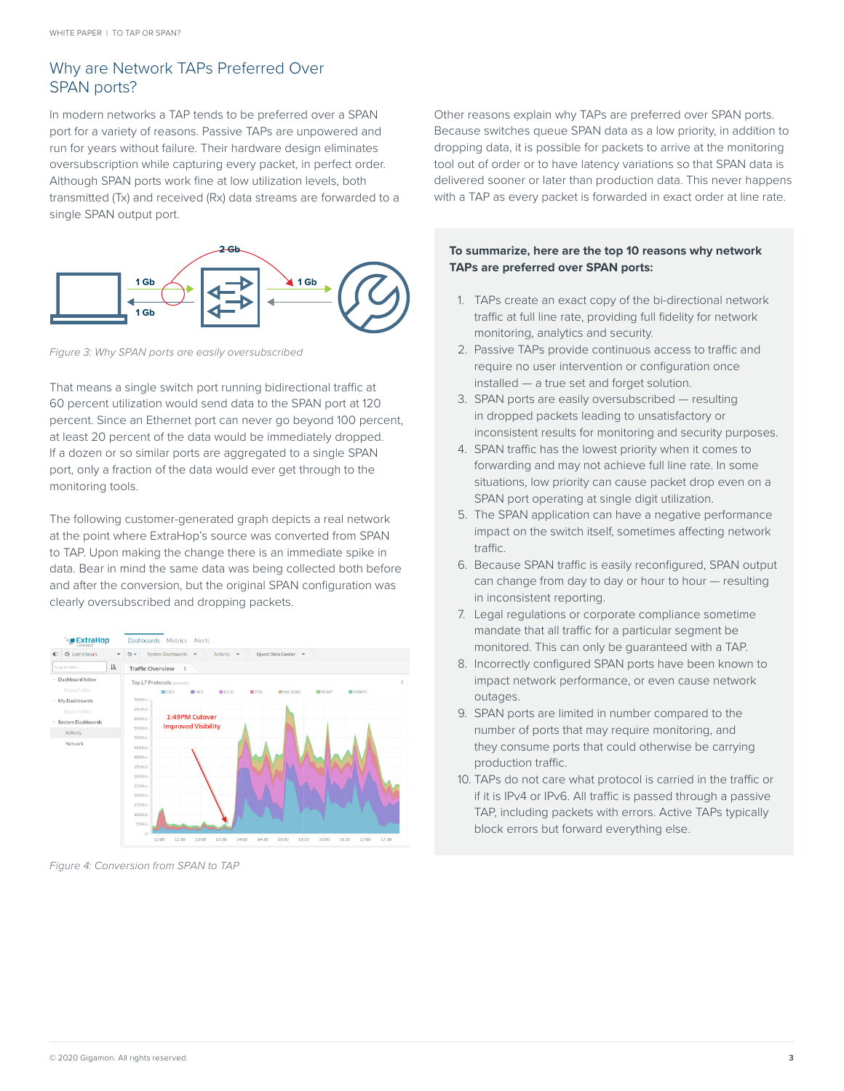## Why are Network TAPs Preferred Over SPAN ports?

In modern networks a TAP tends to be preferred over a SPAN port for a variety of reasons. Passive TAPs are unpowered and run for years without failure. Their hardware design eliminates oversubscription while capturing every packet, in perfect order. Although SPAN ports work fine at low utilization levels, both transmitted (Tx) and received (Rx) data streams are forwarded to a single SPAN output port.



*Figure 3: Why SPAN ports are easily oversubscribed*

That means a single switch port running bidirectional traffic at 60 percent utilization would send data to the SPAN port at 120 percent. Since an Ethernet port can never go beyond 100 percent, at least 20 percent of the data would be immediately dropped. If a dozen or so similar ports are aggregated to a single SPAN port, only a fraction of the data would ever get through to the monitoring tools.

The following customer-generated graph depicts a real network at the point where ExtraHop's source was converted from SPAN to TAP. Upon making the change there is an immediate spike in data. Bear in mind the same data was being collected both before and after the conversion, but the original SPAN configuration was clearly oversubscribed and dropping packets.



*Figure 4: Conversion from SPAN to TAP*

Other reasons explain why TAPs are preferred over SPAN ports. Because switches queue SPAN data as a low priority, in addition to dropping data, it is possible for packets to arrive at the monitoring tool out of order or to have latency variations so that SPAN data is delivered sooner or later than production data. This never happens with a TAP as every packet is forwarded in exact order at line rate.

#### **To summarize, here are the top 10 reasons why network TAPs are preferred over SPAN ports:**

- 1. TAPs create an exact copy of the bi-directional network traffic at full line rate, providing full fidelity for network monitoring, analytics and security.
- 2. Passive TAPs provide continuous access to traffic and require no user intervention or configuration once installed — a true set and forget solution.
- 3. SPAN ports are easily oversubscribed resulting in dropped packets leading to unsatisfactory or inconsistent results for monitoring and security purposes.
- 4. SPAN traffic has the lowest priority when it comes to forwarding and may not achieve full line rate. In some situations, low priority can cause packet drop even on a SPAN port operating at single digit utilization.
- 5. The SPAN application can have a negative performance impact on the switch itself, sometimes affecting network traffic.
- 6. Because SPAN traffic is easily reconfigured, SPAN output can change from day to day or hour to hour - resulting in inconsistent reporting.
- 7. Legal regulations or corporate compliance sometime mandate that all traffic for a particular segment be monitored. This can only be guaranteed with a TAP.
- 8. Incorrectly configured SPAN ports have been known to impact network performance, or even cause network outages.
- 9. SPAN ports are limited in number compared to the number of ports that may require monitoring, and they consume ports that could otherwise be carrying production traffic.
- 10. TAPs do not care what protocol is carried in the traffic or if it is IPv4 or IPv6. All traffic is passed through a passive TAP, including packets with errors. Active TAPs typically block errors but forward everything else.